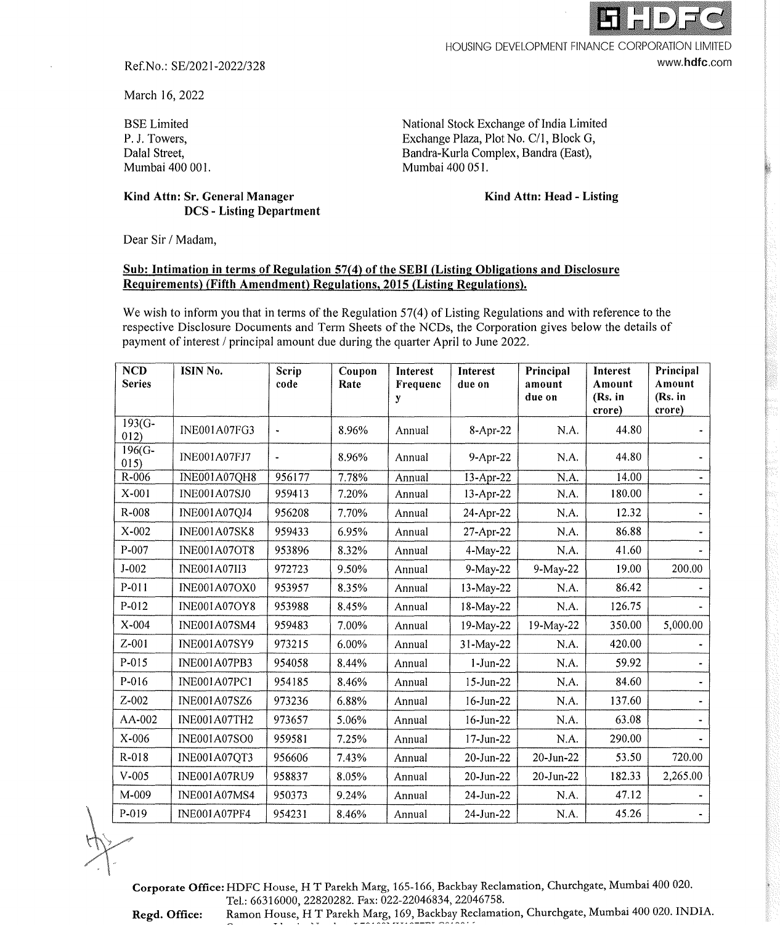

HOUSING DEVELOPMENT FINANCE CORPORATION LIMITED

www.hdfc.com

Ref.No.: SE/2021-2022/328

**Kind Attn: Sr. General Manager** 

**DCS** - **Listing Department** 

March 16, 2022

BSE Limited P. J. Towers, Dalal Street, Mumbai 400 001. National Stock Exchange of India Limited Exchange Plaza, Plot No. C/1, Block G, Bandra-Kurla Complex, Bandra (East), Mumbai 400 051.

**Kind Attn: Head** - **Listing** 

Dear Sir / Madam,

## **Sub: Intimation in terms of Regulation 57(4) of the SEBI (Listing Obligations and Disclosure Requirements) (Fifth Amendment) Regulations, 2015 (Listing Regulations).**

We wish to inform you that in terms of the Regulation  $57(4)$  of Listing Regulations and with reference to the respective Disclosure Documents and Term Sheets of the NCDs, the Corporation gives below the details of payment of interest/ principal amount due during the quarter April to June 2022.

| <b>NCD</b><br><b>Series</b> | ISIN No.            | Scrip<br>code        | Coupon<br>Rate | Interest<br>Frequenc<br>y | <b>Interest</b><br>due on | Principal<br>amount<br>due on | <b>Interest</b><br>Amount<br>(Rs. in<br>crore) | Principal<br>Amount<br>(Rs. in<br>crore) |
|-----------------------------|---------------------|----------------------|----------------|---------------------------|---------------------------|-------------------------------|------------------------------------------------|------------------------------------------|
| $193(G -$<br>012)           | <b>INE001A07FG3</b> | $\ddot{\phantom{0}}$ | 8.96%          | Annual                    | 8-Apr-22                  | N.A.                          | 44.80                                          |                                          |
| 196(G-<br>015)              | INE001A07FJ7        |                      | 8.96%          | Annual                    | 9-Apr-22                  | N.A.                          | 44.80                                          |                                          |
| $R-006$                     | INE001A07QH8        | 956177               | 7.78%          | Annual                    | 13-Apr-22                 | N.A.                          | 14.00                                          |                                          |
| X-001                       | <b>INE001A07SJ0</b> | 959413               | 7.20%          | Annual                    | 13-Apr-22                 | N.A.                          | 180.00                                         |                                          |
| R-008                       | <b>INE001A07QJ4</b> | 956208               | 7.70%          | Annual                    | 24-Apr-22                 | N.A.                          | 12.32                                          |                                          |
| $X-002$                     | <b>INE001A07SK8</b> | 959433               | 6.95%          | Annual                    | 27-Apr-22                 | N.A.                          | 86.88                                          |                                          |
| P-007                       | <b>INE001A07OT8</b> | 953896               | 8.32%          | Annual                    | 4-May-22                  | N.A.                          | 41.60                                          |                                          |
| $J - 002$                   | <b>INE001A07II3</b> | 972723               | 9.50%          | Annual                    | 9-May-22                  | $9-May-22$                    | 19.00                                          | 200.00                                   |
| P-011                       | <b>INE001A07OX0</b> | 953957               | 8.35%          | Annual                    | 13-May-22                 | N.A.                          | 86.42                                          |                                          |
| $P - 012$                   | <b>INE001A07OY8</b> | 953988               | 8.45%          | Annual                    | $18-May-22$               | N.A.                          | 126.75                                         |                                          |
| $X - 004$                   | INE001A07SM4        | 959483               | 7.00%          | Annual                    | 19-May-22                 | 19-May-22                     | 350.00                                         | 5,000.00                                 |
| $Z - 001$                   | <b>INE001A07SY9</b> | 973215               | 6.00%          | Annual                    | 31-May-22                 | N.A.                          | 420.00                                         |                                          |
| P-015                       | <b>INE001A07PB3</b> | 954058               | 8,44%          | Annual                    | $1-Jun-22$                | N.A.                          | 59.92                                          |                                          |
| P-016                       | <b>INE001A07PC1</b> | 954185               | 8.46%          | Annual                    | $15$ -Jun-22              | N.A.                          | 84.60                                          |                                          |
| Z-002                       | INE001A07SZ6        | 973236               | 6.88%          | Annual                    | $16$ -Jun-22              | N.A.                          | 137.60                                         |                                          |
| AA-002                      | INE001A07TH2        | 973657               | 5.06%          | Annual                    | $16$ -Jun-22              | N.A.                          | 63.08                                          |                                          |
| X-006                       | <b>INE001A07SO0</b> | 959581               | 7.25%          | Annual                    | $17$ -Jun-22              | N.A.                          | 290.00                                         |                                          |
| R-018                       | INE001A07QT3        | 956606               | 7.43%          | Annual                    | 20-Jun-22                 | 20-Jun-22                     | 53.50                                          | 720.00                                   |
| $V-005$                     | <b>INE001A07RU9</b> | 958837               | 8.05%          | Annual                    | 20-Jun-22                 | $20$ -Jun- $22$               | 182.33                                         | 2,265.00                                 |
| $M-009$                     | <b>INE001A07MS4</b> | 950373               | 9.24%          | Annual                    | 24-Jun-22                 | N.A.                          | 47.12                                          |                                          |
| $P-019$                     | <b>INE001A07PF4</b> | 954231               | 8.46%          | Annual                    | 24-Jun-22                 | N.A.                          | 45.26                                          |                                          |

**Corporate Office:** HDFC House, HT Parekh Marg, 165-166, Backbay Reclamation, Churchgate, Mumbai 400 020. Tel.: 66316000, 22820282. Fax: 022-22046834, 22046758. Regd. Office: Ramon House, HT Parekh Marg, 169, Backbay Reclamation, Churchgate, Mumbai 400 020. INDIA.